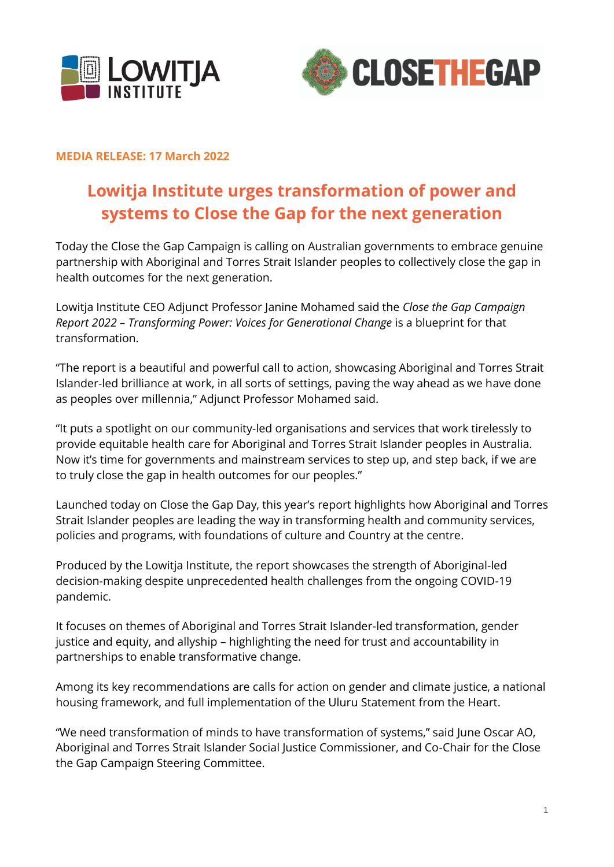



## **MEDIA RELEASE: 17 March 2022**

# **Lowitja Institute urges transformation of power and systems to Close the Gap for the next generation**

Today the Close the Gap Campaign is calling on Australian governments to embrace genuine partnership with Aboriginal and Torres Strait Islander peoples to collectively close the gap in health outcomes for the next generation.

Lowitja Institute CEO Adjunct Professor Janine Mohamed said the *Close the Gap Campaign Report 2022 – Transforming Power: Voices for Generational Change* is a blueprint for that transformation.

"The report is a beautiful and powerful call to action, showcasing Aboriginal and Torres Strait Islander-led brilliance at work, in all sorts of settings, paving the way ahead as we have done as peoples over millennia," Adjunct Professor Mohamed said.

"It puts a spotlight on our community-led organisations and services that work tirelessly to provide equitable health care for Aboriginal and Torres Strait Islander peoples in Australia. Now it's time for governments and mainstream services to step up, and step back, if we are to truly close the gap in health outcomes for our peoples."

Launched today on Close the Gap Day, this year's report highlights how Aboriginal and Torres Strait Islander peoples are leading the way in transforming health and community services, policies and programs, with foundations of culture and Country at the centre.

Produced by the Lowitja Institute, the report showcases the strength of Aboriginal-led decision-making despite unprecedented health challenges from the ongoing COVID-19 pandemic.

It focuses on themes of Aboriginal and Torres Strait Islander-led transformation, gender justice and equity, and allyship – highlighting the need for trust and accountability in partnerships to enable transformative change.

Among its key recommendations are calls for action on gender and climate justice, a national housing framework, and full implementation of the Uluru Statement from the Heart.

"We need transformation of minds to have transformation of systems," said June Oscar AO, Aboriginal and Torres Strait Islander Social Justice Commissioner, and Co-Chair for the Close the Gap Campaign Steering Committee.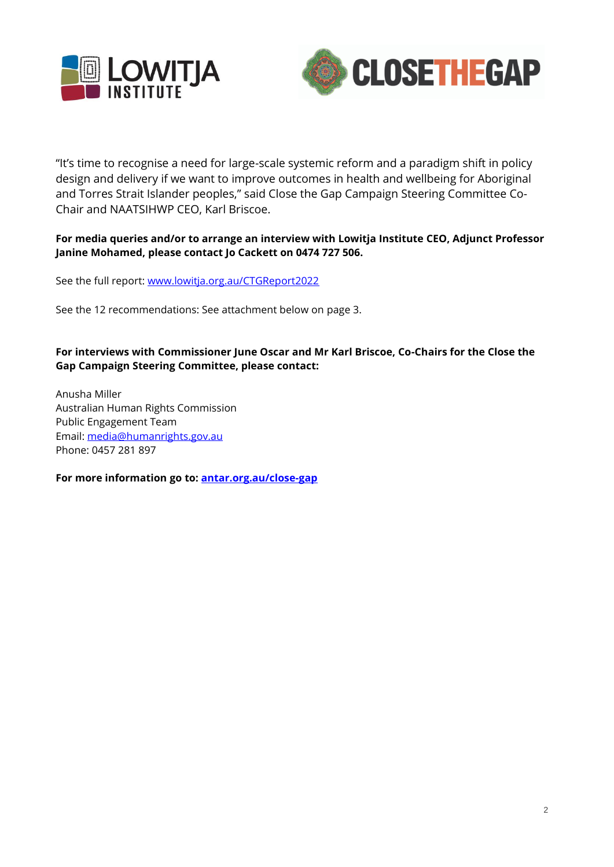



"It's time to recognise a need for large-scale systemic reform and a paradigm shift in policy design and delivery if we want to improve outcomes in health and wellbeing for Aboriginal and Torres Strait Islander peoples," said Close the Gap Campaign Steering Committee Co-Chair and NAATSIHWP CEO, Karl Briscoe.

## **For media queries and/or to arrange an interview with Lowitja Institute CEO, Adjunct Professor Janine Mohamed, please contact Jo Cackett on 0474 727 506.**

See the full report:<www.lowitja.org.au/CTGReport2022>

See the 12 recommendations: See attachment below on page 3.

## **For interviews with Commissioner June Oscar and Mr Karl Briscoe, Co-Chairs for the Close the Gap Campaign Steering Committee, please contact:**

Anusha Miller Australian Human Rights Commission Public Engagement Team Email: [media@humanrights.gov.au](mailto:media@humanrights.gov.au) Phone: 0457 281 897

**For more information go to: [antar.org.au/close-gap](https://antar.org.au/close-gap)**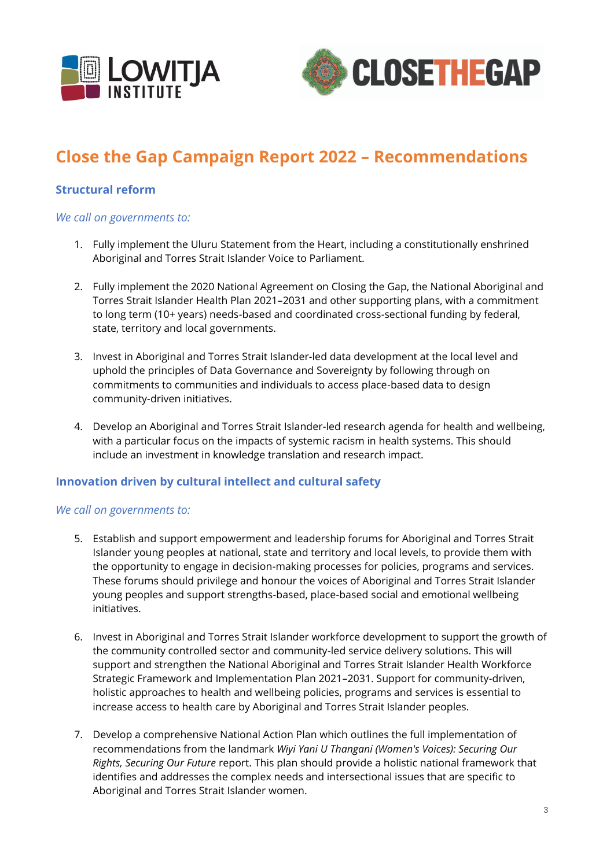



## **Close the Gap Campaign Report 2022 – Recommendations**

## **Structural reform**

#### *We call on governments to:*

- 1. Fully implement the Uluru Statement from the Heart, including a constitutionally enshrined Aboriginal and Torres Strait Islander Voice to Parliament.
- 2. Fully implement the 2020 National Agreement on Closing the Gap, the National Aboriginal and Torres Strait Islander Health Plan 2021–2031 and other supporting plans, with a commitment to long term (10+ years) needs-based and coordinated cross-sectional funding by federal, state, territory and local governments.
- 3. Invest in Aboriginal and Torres Strait Islander-led data development at the local level and uphold the principles of Data Governance and Sovereignty by following through on commitments to communities and individuals to access place-based data to design community-driven initiatives.
- 4. Develop an Aboriginal and Torres Strait Islander-led research agenda for health and wellbeing, with a particular focus on the impacts of systemic racism in health systems. This should include an investment in knowledge translation and research impact.

## **Innovation driven by cultural intellect and cultural safety**

#### *We call on governments to:*

- 5. Establish and support empowerment and leadership forums for Aboriginal and Torres Strait Islander young peoples at national, state and territory and local levels, to provide them with the opportunity to engage in decision-making processes for policies, programs and services. These forums should privilege and honour the voices of Aboriginal and Torres Strait Islander young peoples and support strengths-based, place-based social and emotional wellbeing initiatives.
- 6. Invest in Aboriginal and Torres Strait Islander workforce development to support the growth of the community controlled sector and community-led service delivery solutions. This will support and strengthen the National Aboriginal and Torres Strait Islander Health Workforce Strategic Framework and Implementation Plan 2021–2031. Support for community-driven, holistic approaches to health and wellbeing policies, programs and services is essential to increase access to health care by Aboriginal and Torres Strait Islander peoples.
- 7. Develop a comprehensive National Action Plan which outlines the full implementation of recommendations from the landmark *Wiyi Yani U Thangani (Women's Voices): Securing Our Rights, Securing Our Future* report. This plan should provide a holistic national framework that identifies and addresses the complex needs and intersectional issues that are specific to Aboriginal and Torres Strait Islander women.